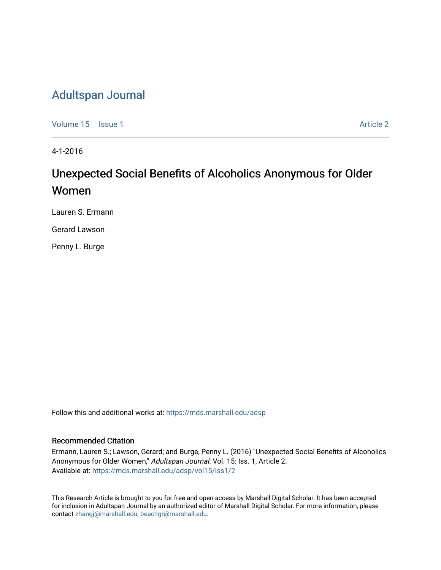## [Adultspan Journal](https://mds.marshall.edu/adsp)

[Volume 15](https://mds.marshall.edu/adsp/vol15) Setsue 1 [Article 2](https://mds.marshall.edu/adsp/vol15/iss1/2) Article 2 Article 2 Article 2 Article 2 Article 2 Article 2

4-1-2016

# Unexpected Social Benefits of Alcoholics Anonymous for Older Women

Lauren S. Ermann

Gerard Lawson

Penny L. Burge

Follow this and additional works at: [https://mds.marshall.edu/adsp](https://mds.marshall.edu/adsp?utm_source=mds.marshall.edu%2Fadsp%2Fvol15%2Fiss1%2F2&utm_medium=PDF&utm_campaign=PDFCoverPages) 

#### Recommended Citation

Ermann, Lauren S.; Lawson, Gerard; and Burge, Penny L. (2016) "Unexpected Social Benefits of Alcoholics Anonymous for Older Women," Adultspan Journal: Vol. 15: Iss. 1, Article 2. Available at: [https://mds.marshall.edu/adsp/vol15/iss1/2](https://mds.marshall.edu/adsp/vol15/iss1/2?utm_source=mds.marshall.edu%2Fadsp%2Fvol15%2Fiss1%2F2&utm_medium=PDF&utm_campaign=PDFCoverPages) 

This Research Article is brought to you for free and open access by Marshall Digital Scholar. It has been accepted for inclusion in Adultspan Journal by an authorized editor of Marshall Digital Scholar. For more information, please contact [zhangj@marshall.edu, beachgr@marshall.edu](mailto:zhangj@marshall.edu,%20beachgr@marshall.edu).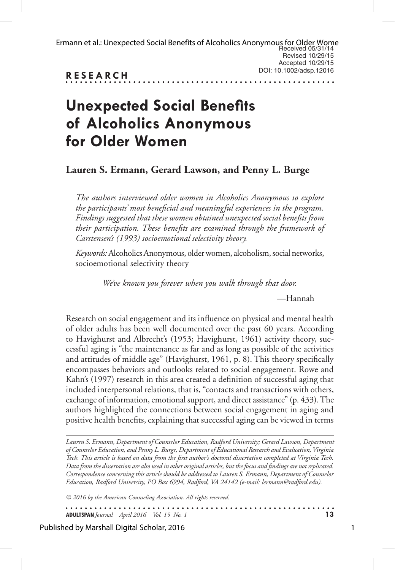| Ermann et al.: Unexpected Social Benefits of Alcoholics Anonymous for Older Wome |                         |
|----------------------------------------------------------------------------------|-------------------------|
|                                                                                  | Revised 10/29/15        |
|                                                                                  | Accepted 10/29/15       |
| <b>RESEARCH</b>                                                                  | DOI: 10.1002/adsp.12016 |
|                                                                                  |                         |

# **Unexpected Social Benefits of Alcoholics Anonymous for Older Women**

## **Lauren S. Ermann, Gerard Lawson, and Penny L. Burge**

*The authors interviewed older women in Alcoholics Anonymous to explore the participants' most beneficial and meaningful experiences in the program. Findings suggested that these women obtained unexpected social benefits from their participation. These benefits are examined through the framework of Carstensen's (1993) socioemotional selectivity theory.*

*Keywords:* Alcoholics Anonymous, older women, alcoholism, social networks, socioemotional selectivity theory

*We've known you forever when you walk through that door.* 

—Hannah

Research on social engagement and its influence on physical and mental health of older adults has been well documented over the past 60 years. According to Havighurst and Albrecht's (1953; Havighurst, 1961) activity theory, successful aging is "the maintenance as far and as long as possible of the activities and attitudes of middle age" (Havighurst, 1961, p. 8). This theory specifically encompasses behaviors and outlooks related to social engagement. Rowe and Kahn's (1997) research in this area created a definition of successful aging that included interpersonal relations, that is, "contacts and transactions with others, exchange of information, emotional support, and direct assistance" (p. 433). The authors highlighted the connections between social engagement in aging and positive health benefits, explaining that successful aging can be viewed in terms

*Lauren S. Ermann, Department of Counselor Education, Radford University; Gerard Lawson, Department of Counselor Education, and Penny L. Burge, Department of Educational Research and Evaluation, Virginia Tech. This article is based on data from the first author's doctoral dissertation completed at Virginia Tech. Data from the dissertation are also used in other original articles, but the focus and findings are not replicated. Correspondence concerning this article should be addressed to Lauren S. Ermann, Department of Counselor Education, Radford University, PO Box 6994, Radford, VA 24142 (e-mail: lermann@radford.edu).* 

*© 2016 by the American Counseling Association. All rights reserved.*

**ADULTSPAN***Journal April 2016 Vol. 15 No. 1* **13**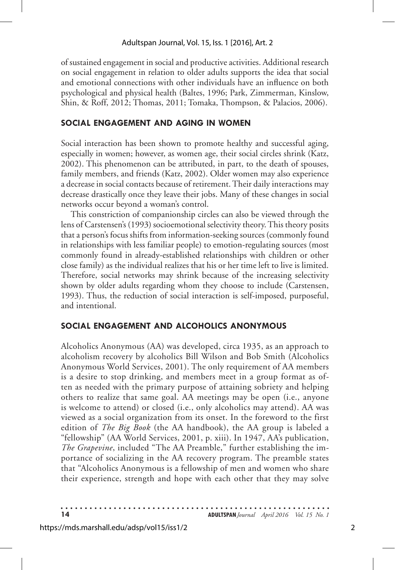of sustained engagement in social and productive activities. Additional research on social engagement in relation to older adults supports the idea that social and emotional connections with other individuals have an influence on both psychological and physical health (Baltes, 1996; Park, Zimmerman, Kinslow, Shin, & Roff, 2012; Thomas, 2011; Tomaka, Thompson, & Palacios, 2006).

## **Social Engagement and Aging in Women**

Social interaction has been shown to promote healthy and successful aging, especially in women; however, as women age, their social circles shrink (Katz, 2002). This phenomenon can be attributed, in part, to the death of spouses, family members, and friends (Katz, 2002). Older women may also experience a decrease in social contacts because of retirement. Their daily interactions may decrease drastically once they leave their jobs. Many of these changes in social networks occur beyond a woman's control.

This constriction of companionship circles can also be viewed through the lens of Carstensen's (1993) socioemotional selectivity theory. This theory posits that a person's focus shifts from information-seeking sources (commonly found in relationships with less familiar people) to emotion-regulating sources (most commonly found in already-established relationships with children or other close family) as the individual realizes that his or her time left to live is limited. Therefore, social networks may shrink because of the increasing selectivity shown by older adults regarding whom they choose to include (Carstensen, 1993). Thus, the reduction of social interaction is self-imposed, purposeful, and intentional.

## **Social Engagement and Alcoholics Anonymous**

Alcoholics Anonymous (AA) was developed, circa 1935, as an approach to alcoholism recovery by alcoholics Bill Wilson and Bob Smith (Alcoholics Anonymous World Services, 2001). The only requirement of AA members is a desire to stop drinking, and members meet in a group format as often as needed with the primary purpose of attaining sobriety and helping others to realize that same goal. AA meetings may be open (i.e., anyone is welcome to attend) or closed (i.e., only alcoholics may attend). AA was viewed as a social organization from its onset. In the foreword to the first edition of *The Big Book* (the AA handbook), the AA group is labeled a "fellowship" (AA World Services, 2001, p. xiii). In 1947, AA's publication, *The Grapevine*, included "The AA Preamble," further establishing the importance of socializing in the AA recovery program. The preamble states that "Alcoholics Anonymous is a fellowship of men and women who share their experience, strength and hope with each other that they may solve

**14 ADULTSPAN***Journal April 2016 Vol. 15 No. 1*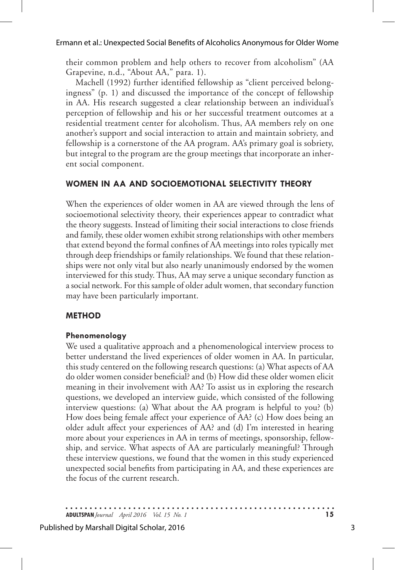their common problem and help others to recover from alcoholism" (AA Grapevine, n.d., "About AA," para. 1).

Machell (1992) further identified fellowship as "client perceived belongingness" (p. 1) and discussed the importance of the concept of fellowship in AA. His research suggested a clear relationship between an individual's perception of fellowship and his or her successful treatment outcomes at a residential treatment center for alcoholism. Thus, AA members rely on one another's support and social interaction to attain and maintain sobriety, and fellowship is a cornerstone of the AA program. AA's primary goal is sobriety, but integral to the program are the group meetings that incorporate an inherent social component.

## **Women in AA and Socioemotional Selectivity Theory**

When the experiences of older women in AA are viewed through the lens of socioemotional selectivity theory, their experiences appear to contradict what the theory suggests. Instead of limiting their social interactions to close friends and family, these older women exhibit strong relationships with other members that extend beyond the formal confines of AA meetings into roles typically met through deep friendships or family relationships. We found that these relationships were not only vital but also nearly unanimously endorsed by the women interviewed for this study. Thus, AA may serve a unique secondary function as a social network. For this sample of older adult women, that secondary function may have been particularly important.

### **Method**

#### **Phenomenology**

We used a qualitative approach and a phenomenological interview process to better understand the lived experiences of older women in AA. In particular, this study centered on the following research questions: (a) What aspects of AA do older women consider beneficial? and (b) How did these older women elicit meaning in their involvement with AA? To assist us in exploring the research questions, we developed an interview guide, which consisted of the following interview questions: (a) What about the AA program is helpful to you? (b) How does being female affect your experience of AA? (c) How does being an older adult affect your experiences of AA? and (d) I'm interested in hearing more about your experiences in AA in terms of meetings, sponsorship, fellowship, and service. What aspects of AA are particularly meaningful? Through these interview questions, we found that the women in this study experienced unexpected social benefits from participating in AA, and these experiences are the focus of the current research.

**ADULTSPAN***Journal April 2016 Vol. 15 No. 1* **15**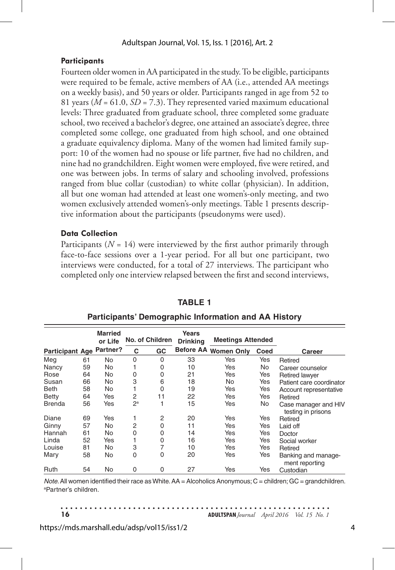## **Participants**

Fourteen older women in AA participated in the study. To be eligible, participants were required to be female, active members of AA (i.e., attended AA meetings on a weekly basis), and 50 years or older. Participants ranged in age from 52 to 81 years ( $M = 61.0$ ,  $SD = 7.3$ ). They represented varied maximum educational levels: Three graduated from graduate school, three completed some graduate school, two received a bachelor's degree, one attained an associate's degree, three completed some college, one graduated from high school, and one obtained a graduate equivalency diploma. Many of the women had limited family support: 10 of the women had no spouse or life partner, five had no children, and nine had no grandchildren. Eight women were employed, five were retired, and one was between jobs. In terms of salary and schooling involved, professions ranged from blue collar (custodian) to white collar (physician). In addition, all but one woman had attended at least one women's-only meeting, and two women exclusively attended women's-only meetings. Table 1 presents descriptive information about the participants (pseudonyms were used).

## **Data Collection**

Participants ( $N = 14$ ) were interviewed by the first author primarily through face-to-face sessions over a 1-year period. For all but one participant, two interviews were conducted, for a total of 27 interviews. The participant who completed only one interview relapsed between the first and second interviews,

|                          |    | <b>Married</b><br>or Life |                | No. of Children | Years<br><b>Drinking</b> | <b>Meetings Attended</b> |      |                                            |
|--------------------------|----|---------------------------|----------------|-----------------|--------------------------|--------------------------|------|--------------------------------------------|
| Participant Age Partner? |    |                           | С              | GC              |                          | Before AA Women Only     | Coed | Career                                     |
| Meg                      | 61 | No                        | 0              | $\Omega$        | 33                       | Yes                      | Yes  | Retired                                    |
| Nancy                    | 59 | No                        |                | 0               | 10                       | Yes                      | No.  | Career counselor                           |
| Rose                     | 64 | No                        | 0              | 0               | 21                       | Yes                      | Yes  | <b>Retired lawyer</b>                      |
| Susan                    | 66 | No                        | 3              | 6               | 18                       | No                       | Yes  | Patient care coordinator                   |
| <b>Beth</b>              | 58 | No                        | 1              | 0               | 19                       | Yes                      | Yes  | Account representative                     |
| <b>Betty</b>             | 64 | Yes                       | 2              | 11              | 22                       | Yes                      | Yes  | Retired                                    |
| <b>Brenda</b>            | 56 | Yes                       | 2 <sup>a</sup> |                 | 15                       | Yes                      | No.  | Case manager and HIV<br>testing in prisons |
| Diane                    | 69 | Yes                       | 1              | 2               | 20                       | Yes                      | Yes  | Retired                                    |
| Ginny                    | 57 | No                        | $\overline{2}$ | 0               | 11                       | Yes                      | Yes  | Laid off                                   |
| Hannah                   | 61 | No                        | 0              | 0               | 14                       | Yes                      | Yes  | Doctor                                     |
| Linda                    | 52 | Yes                       |                | 0               | 16                       | Yes                      | Yes  | Social worker                              |
| Louise                   | 81 | No                        | 3              | 7               | 10                       | Yes                      | Yes  | Retired                                    |
| Mary                     | 58 | No                        | 0              | $\Omega$        | 20                       | Yes                      | Yes  | Banking and manage-<br>ment reporting      |
| Ruth                     | 54 | No                        | 0              | 0               | 27                       | Yes                      | Yes  | Custodian                                  |

## **Table 1**

**Participants' Demographic Information and AA History**

*Note.* All women identified their race as White. AA = Alcoholics Anonymous; C = children; GC = grandchildren. a Partner's children.

. . . . . . . . . . . . . . . **16 ADULTSPAN***Journal April 2016 Vol. 15 No. 1*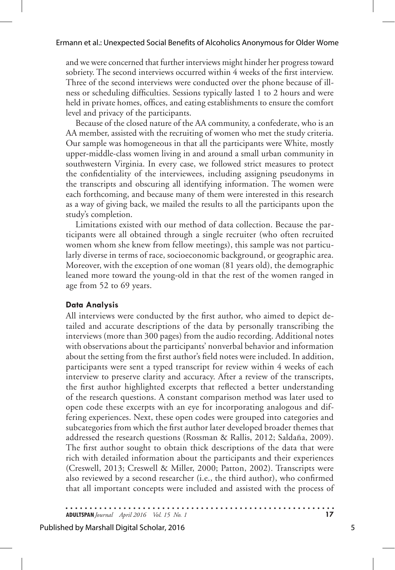and we were concerned that further interviews might hinder her progress toward sobriety. The second interviews occurred within 4 weeks of the first interview. Three of the second interviews were conducted over the phone because of illness or scheduling difficulties. Sessions typically lasted 1 to 2 hours and were held in private homes, offices, and eating establishments to ensure the comfort level and privacy of the participants.

Because of the closed nature of the AA community, a confederate, who is an AA member, assisted with the recruiting of women who met the study criteria. Our sample was homogeneous in that all the participants were White, mostly upper-middle-class women living in and around a small urban community in southwestern Virginia. In every case, we followed strict measures to protect the confidentiality of the interviewees, including assigning pseudonyms in the transcripts and obscuring all identifying information. The women were each forthcoming, and because many of them were interested in this research as a way of giving back, we mailed the results to all the participants upon the study's completion.

Limitations existed with our method of data collection. Because the participants were all obtained through a single recruiter (who often recruited women whom she knew from fellow meetings), this sample was not particularly diverse in terms of race, socioeconomic background, or geographic area. Moreover, with the exception of one woman (81 years old), the demographic leaned more toward the young-old in that the rest of the women ranged in age from 52 to 69 years.

#### **Data Analysis**

All interviews were conducted by the first author, who aimed to depict detailed and accurate descriptions of the data by personally transcribing the interviews (more than 300 pages) from the audio recording. Additional notes with observations about the participants' nonverbal behavior and information about the setting from the first author's field notes were included. In addition, participants were sent a typed transcript for review within 4 weeks of each interview to preserve clarity and accuracy. After a review of the transcripts, the first author highlighted excerpts that reflected a better understanding of the research questions. A constant comparison method was later used to open code these excerpts with an eye for incorporating analogous and differing experiences. Next, these open codes were grouped into categories and subcategories from which the first author later developed broader themes that addressed the research questions (Rossman & Rallis, 2012; Saldaña, 2009). The first author sought to obtain thick descriptions of the data that were rich with detailed information about the participants and their experiences (Creswell, 2013; Creswell & Miller, 2000; Patton, 2002). Transcripts were also reviewed by a second researcher (i.e., the third author), who confirmed that all important concepts were included and assisted with the process of

**ADULTSPAN***Journal April 2016 Vol. 15 No. 1* **17**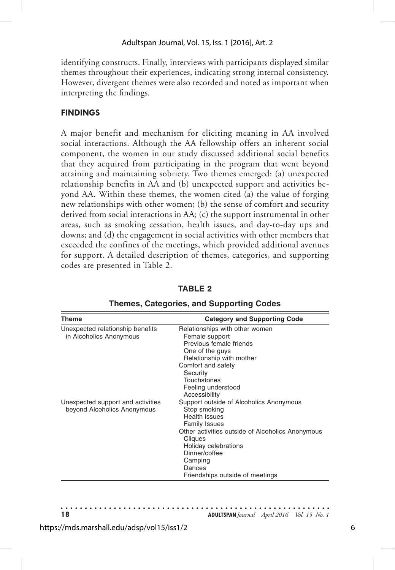identifying constructs. Finally, interviews with participants displayed similar themes throughout their experiences, indicating strong internal consistency. However, divergent themes were also recorded and noted as important when interpreting the findings.

## **Findings**

A major benefit and mechanism for eliciting meaning in AA involved social interactions. Although the AA fellowship offers an inherent social component, the women in our study discussed additional social benefits that they acquired from participating in the program that went beyond attaining and maintaining sobriety. Two themes emerged: (a) unexpected relationship benefits in AA and (b) unexpected support and activities beyond AA. Within these themes, the women cited (a) the value of forging new relationships with other women; (b) the sense of comfort and security derived from social interactions in AA; (c) the support instrumental in other areas, such as smoking cessation, health issues, and day-to-day ups and downs; and (d) the engagement in social activities with other members that exceeded the confines of the meetings, which provided additional avenues for support. A detailed description of themes, categories, and supporting codes are presented in Table 2.

| <b>Theme</b>                                                     | <b>Category and Supporting Code</b>                                                                                                                                                                                                                              |
|------------------------------------------------------------------|------------------------------------------------------------------------------------------------------------------------------------------------------------------------------------------------------------------------------------------------------------------|
| Unexpected relationship benefits<br>in Alcoholics Anonymous      | Relationships with other women<br>Female support<br>Previous female friends<br>One of the guys<br>Relationship with mother<br>Comfort and safety<br>Security<br><b>Touchstones</b><br>Feeling understood<br>Accessibility                                        |
| Unexpected support and activities<br>beyond Alcoholics Anonymous | Support outside of Alcoholics Anonymous<br>Stop smoking<br>Health issues<br><b>Family Issues</b><br>Other activities outside of Alcoholics Anonymous<br>Cliques<br>Holiday celebrations<br>Dinner/coffee<br>Camping<br>Dances<br>Friendships outside of meetings |

**Table 2 Themes, Categories, and Supporting Codes**

| 10 |  |  |  |  |  |  |  |  |  |  |  |  |  |  |  | <b>ANILITED</b> |  |
|----|--|--|--|--|--|--|--|--|--|--|--|--|--|--|--|-----------------|--|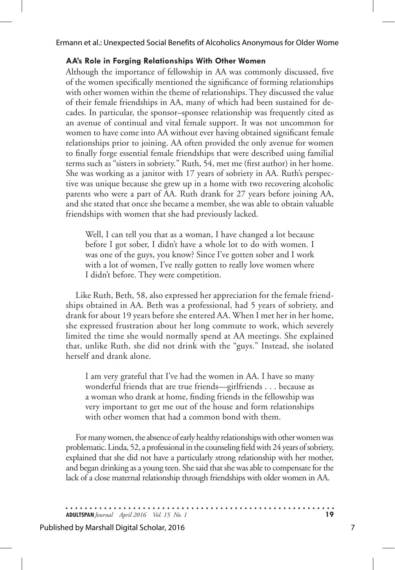#### **AA's Role in Forging Relationships With Other Women**

Although the importance of fellowship in AA was commonly discussed, five of the women specifically mentioned the significance of forming relationships with other women within the theme of relationships. They discussed the value of their female friendships in AA, many of which had been sustained for decades. In particular, the sponsor–sponsee relationship was frequently cited as an avenue of continual and vital female support. It was not uncommon for women to have come into AA without ever having obtained significant female relationships prior to joining. AA often provided the only avenue for women to finally forge essential female friendships that were described using familial terms such as "sisters in sobriety." Ruth, 54, met me (first author) in her home. She was working as a janitor with 17 years of sobriety in AA. Ruth's perspective was unique because she grew up in a home with two recovering alcoholic parents who were a part of AA. Ruth drank for 27 years before joining AA, and she stated that once she became a member, she was able to obtain valuable friendships with women that she had previously lacked.

Well, I can tell you that as a woman, I have changed a lot because before I got sober, I didn't have a whole lot to do with women. I was one of the guys, you know? Since I've gotten sober and I work with a lot of women, I've really gotten to really love women where I didn't before. They were competition.

Like Ruth, Beth, 58, also expressed her appreciation for the female friendships obtained in AA. Beth was a professional, had 5 years of sobriety, and drank for about 19 years before she entered AA. When I met her in her home, she expressed frustration about her long commute to work, which severely limited the time she would normally spend at AA meetings. She explained that, unlike Ruth, she did not drink with the "guys." Instead, she isolated herself and drank alone.

I am very grateful that I've had the women in AA. I have so many wonderful friends that are true friends—girlfriends . . . because as a woman who drank at home, finding friends in the fellowship was very important to get me out of the house and form relationships with other women that had a common bond with them.

For many women, the absence of early healthy relationships with other women was problematic. Linda, 52, a professional in the counseling field with 24 years of sobriety, explained that she did not have a particularly strong relationship with her mother, and began drinking as a young teen. She said that she was able to compensate for the lack of a close maternal relationship through friendships with older women in AA.

**ADULTSPAN***Journal April 2016 Vol. 15 No. 1* **19**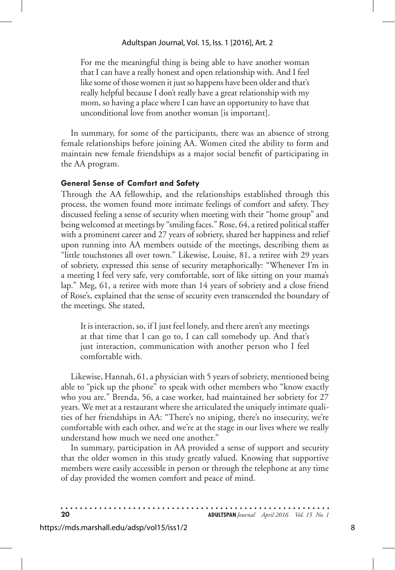For me the meaningful thing is being able to have another woman that I can have a really honest and open relationship with. And I feel like some of those women it just so happens have been older and that's really helpful because I don't really have a great relationship with my mom, so having a place where I can have an opportunity to have that unconditional love from another woman [is important].

In summary, for some of the participants, there was an absence of strong female relationships before joining AA. Women cited the ability to form and maintain new female friendships as a major social benefit of participating in the AA program.

#### **General Sense of Comfort and Safety**

Through the AA fellowship, and the relationships established through this process, the women found more intimate feelings of comfort and safety. They discussed feeling a sense of security when meeting with their "home group" and being welcomed at meetings by "smiling faces." Rose, 64, a retired political staffer with a prominent career and 27 years of sobriety, shared her happiness and relief upon running into AA members outside of the meetings, describing them as "little touchstones all over town." Likewise, Louise, 81, a retiree with 29 years of sobriety, expressed this sense of security metaphorically: "Whenever I'm in a meeting I feel very safe, very comfortable, sort of like sitting on your mama's lap." Meg, 61, a retiree with more than 14 years of sobriety and a close friend of Rose's, explained that the sense of security even transcended the boundary of the meetings. She stated,

It is interaction, so, if I just feel lonely, and there aren't any meetings at that time that I can go to, I can call somebody up. And that's just interaction, communication with another person who I feel comfortable with.

Likewise, Hannah, 61, a physician with 5 years of sobriety, mentioned being able to "pick up the phone" to speak with other members who "know exactly who you are." Brenda, 56, a case worker, had maintained her sobriety for 27 years. We met at a restaurant where she articulated the uniquely intimate qualities of her friendships in AA: "There's no sniping, there's no insecurity, we're comfortable with each other, and we're at the stage in our lives where we really understand how much we need one another."

In summary, participation in AA provided a sense of support and security that the older women in this study greatly valued. Knowing that supportive members were easily accessible in person or through the telephone at any time of day provided the women comfort and peace of mind.

**20 ADULTSPAN***Journal April 2016 Vol. 15 No. 1*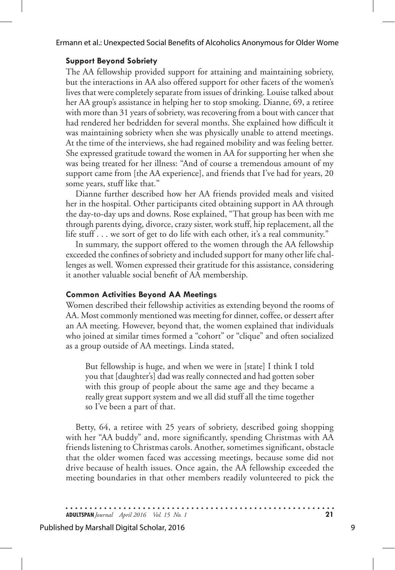#### **Support Beyond Sobriety**

The AA fellowship provided support for attaining and maintaining sobriety, but the interactions in AA also offered support for other facets of the women's lives that were completely separate from issues of drinking. Louise talked about her AA group's assistance in helping her to stop smoking. Dianne, 69, a retiree with more than 31 years of sobriety, was recovering from a bout with cancer that had rendered her bedridden for several months. She explained how difficult it was maintaining sobriety when she was physically unable to attend meetings. At the time of the interviews, she had regained mobility and was feeling better. She expressed gratitude toward the women in AA for supporting her when she was being treated for her illness: "And of course a tremendous amount of my support came from [the AA experience], and friends that I've had for years, 20 some years, stuff like that."

Dianne further described how her AA friends provided meals and visited her in the hospital. Other participants cited obtaining support in AA through the day-to-day ups and downs. Rose explained, "That group has been with me through parents dying, divorce, crazy sister, work stuff, hip replacement, all the life stuff . . . we sort of get to do life with each other, it's a real community."

In summary, the support offered to the women through the AA fellowship exceeded the confines of sobriety and included support for many other life challenges as well. Women expressed their gratitude for this assistance, considering it another valuable social benefit of AA membership.

#### **Common Activities Beyond AA Meetings**

Women described their fellowship activities as extending beyond the rooms of AA. Most commonly mentioned was meeting for dinner, coffee, or dessert after an AA meeting. However, beyond that, the women explained that individuals who joined at similar times formed a "cohort" or "clique" and often socialized as a group outside of AA meetings. Linda stated,

But fellowship is huge, and when we were in [state] I think I told you that [daughter's] dad was really connected and had gotten sober with this group of people about the same age and they became a really great support system and we all did stuff all the time together so I've been a part of that.

Betty, 64, a retiree with 25 years of sobriety, described going shopping with her "AA buddy" and, more significantly, spending Christmas with AA friends listening to Christmas carols. Another, sometimes significant, obstacle that the older women faced was accessing meetings, because some did not drive because of health issues. Once again, the AA fellowship exceeded the meeting boundaries in that other members readily volunteered to pick the

**ADULTSPAN***Journal April 2016 Vol. 15 No. 1* **21**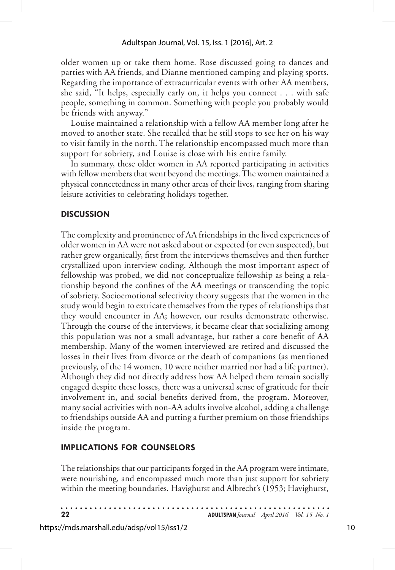older women up or take them home. Rose discussed going to dances and parties with AA friends, and Dianne mentioned camping and playing sports. Regarding the importance of extracurricular events with other AA members, she said, "It helps, especially early on, it helps you connect . . . with safe people, something in common. Something with people you probably would be friends with anyway."

Louise maintained a relationship with a fellow AA member long after he moved to another state. She recalled that he still stops to see her on his way to visit family in the north. The relationship encompassed much more than support for sobriety, and Louise is close with his entire family.

In summary, these older women in AA reported participating in activities with fellow members that went beyond the meetings. The women maintained a physical connectedness in many other areas of their lives, ranging from sharing leisure activities to celebrating holidays together.

## **Discussion**

The complexity and prominence of AA friendships in the lived experiences of older women in AA were not asked about or expected (or even suspected), but rather grew organically, first from the interviews themselves and then further crystallized upon interview coding. Although the most important aspect of fellowship was probed, we did not conceptualize fellowship as being a relationship beyond the confines of the AA meetings or transcending the topic of sobriety. Socioemotional selectivity theory suggests that the women in the study would begin to extricate themselves from the types of relationships that they would encounter in AA; however, our results demonstrate otherwise. Through the course of the interviews, it became clear that socializing among this population was not a small advantage, but rather a core benefit of AA membership. Many of the women interviewed are retired and discussed the losses in their lives from divorce or the death of companions (as mentioned previously, of the 14 women, 10 were neither married nor had a life partner). Although they did not directly address how AA helped them remain socially engaged despite these losses, there was a universal sense of gratitude for their involvement in, and social benefits derived from, the program. Moreover, many social activities with non-AA adults involve alcohol, adding a challenge to friendships outside AA and putting a further premium on those friendships inside the program.

### **Implications for Counselors**

The relationships that our participants forged in the AA program were intimate, were nourishing, and encompassed much more than just support for sobriety within the meeting boundaries. Havighurst and Albrecht's (1953; Havighurst,

**22 ADULTSPAN***Journal April 2016 Vol. 15 No. 1*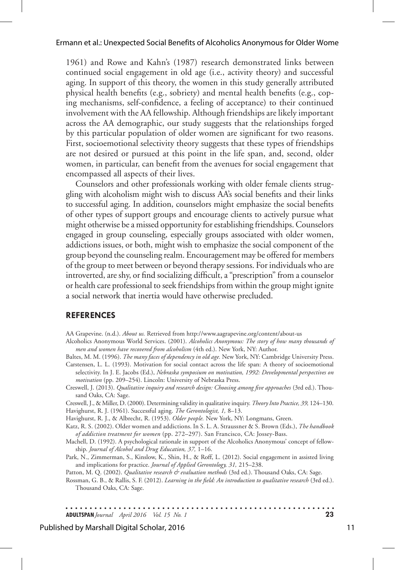1961) and Rowe and Kahn's (1987) research demonstrated links between continued social engagement in old age (i.e., activity theory) and successful aging. In support of this theory, the women in this study generally attributed physical health benefits (e.g., sobriety) and mental health benefits (e.g., coping mechanisms, self-confidence, a feeling of acceptance) to their continued involvement with the AA fellowship. Although friendships are likely important across the AA demographic, our study suggests that the relationships forged by this particular population of older women are significant for two reasons. First, socioemotional selectivity theory suggests that these types of friendships are not desired or pursued at this point in the life span, and, second, older women, in particular, can benefit from the avenues for social engagement that encompassed all aspects of their lives.

Counselors and other professionals working with older female clients struggling with alcoholism might wish to discuss AA's social benefits and their links to successful aging. In addition, counselors might emphasize the social benefits of other types of support groups and encourage clients to actively pursue what might otherwise be a missed opportunity for establishing friendships. Counselors engaged in group counseling, especially groups associated with older women, addictions issues, or both, might wish to emphasize the social component of the group beyond the counseling realm. Encouragement may be offered for members of the group to meet between or beyond therapy sessions. For individuals who are introverted, are shy, or find socializing difficult, a "prescription" from a counselor or health care professional to seek friendships from within the group might ignite a social network that inertia would have otherwise precluded.

#### **References**

AA Grapevine. (n.d.). *About us.* Retrieved from http://www.aagrapevine.org/content/about-us

Alcoholics Anonymous World Services. (2001). *Alcoholics Anonymous: The story of how many thousands of men and women have recovered from alcoholism* (4th ed.). New York, NY: Author.

Baltes, M. M. (1996). *The many faces of dependency in old age.* New York, NY: Cambridge University Press.

Carstensen, L. L. (1993). Motivation for social contact across the life span: A theory of socioemotional selectivity. In J. E. Jacobs (Ed.), *Nebraska symposium on motivation, 1992: Developmental perspectives on motivation* (pp. 209–254). Lincoln: University of Nebraska Press.

Creswell, J. (2013). *Qualitative inquiry and research design: Choosing among five approaches* (3rd ed.). Thousand Oaks, CA: Sage.

Creswell, J., & Miller, D. (2000). Determining validity in qualitative inquiry. *Theory Into Practice, 39,* 124–130.

Havighurst, R. J. (1961). Successful aging. *The Gerontologist, 1,* 8–13.

Havighurst, R. J., & Albrecht, R. (1953). *Older people.* New York, NY: Longmans, Green.

Katz, R. S. (2002). Older women and addictions. In S. L. A. Straussner & S. Brown (Eds.), *The handbook of addiction treatment for women* (pp. 272–297). San Francisco, CA: Jossey-Bass.

Machell, D. (1992). A psychological rationale in support of the Alcoholics Anonymous' concept of fellowship. *Journal of Alcohol and Drug Education, 37,* 1–16.

Park, N., Zimmerman, S., Kinslow, K., Shin, H., & Roff, L. (2012). Social engagement in assisted living and implications for practice. *Journal of Applied Gerontology, 31,* 215–238.

Patton, M. Q. (2002). *Qualitative research & evaluation methods* (3rd ed.). Thousand Oaks, CA: Sage.

Rossman, G. B., & Rallis, S. F. (2012). *Learning in the field: An introduction to qualitative research* (3rd ed.). Thousand Oaks, CA: Sage.

. . . . . . . . . . . . . . . . . . . . **ADULTSPAN***Journal April 2016 Vol. 15 No. 1* **23**